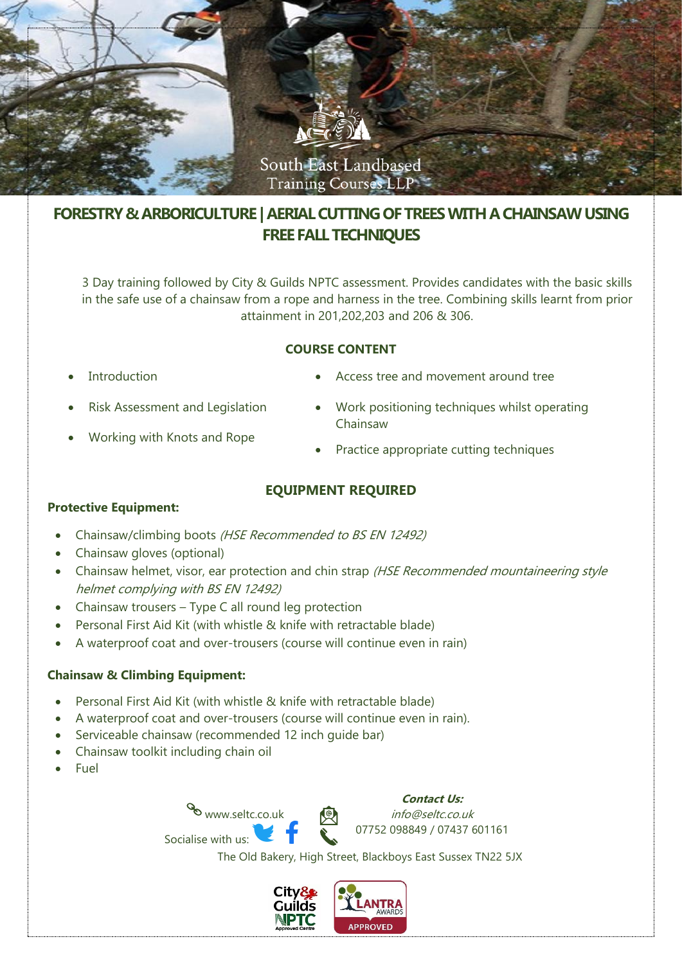

# **FORESTRY & ARBORICULTURE | AERIAL CUTTING OF TREES WITH A CHAINSAW USING FREE FALL TECHNIQUES**

3 Day training followed by City & Guilds NPTC assessment. Provides candidates with the basic skills in the safe use of a chainsaw from a rope and harness in the tree. Combining skills learnt from prior attainment in 201,202,203 and 206 & 306.

## **COURSE CONTENT**

**Introduction** 

- Access tree and movement around tree
- Risk Assessment and Legislation
- Working with Knots and Rope
- Work positioning techniques whilst operating Chainsaw
- Practice appropriate cutting techniques

# **EQUIPMENT REQUIRED**

#### **Protective Equipment:**

- Chainsaw/climbing boots (HSE Recommended to BS EN 12492)
- Chainsaw gloves (optional)
- Chainsaw helmet, visor, ear protection and chin strap (HSE Recommended mountaineering style helmet complying with BS EN 12492)
- Chainsaw trousers Type C all round leg protection
- Personal First Aid Kit (with whistle & knife with retractable blade)
- A waterproof coat and over-trousers (course will continue even in rain)

# **Chainsaw & Climbing Equipment:**

- Personal First Aid Kit (with whistle & knife with retractable blade)
- A waterproof coat and over-trousers (course will continue even in rain).
- Serviceable chainsaw (recommended 12 inch quide bar)
- Chainsaw toolkit including chain oil
- **Fuel**

www.seltc.co.uk Socialise with us:

**Contact Us:** info@seltc.co.uk 07752 098849 / 07437 601161

The Old Bakery, High Street, Blackboys East Sussex TN22 5JX